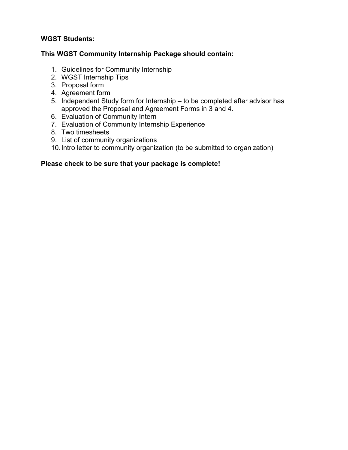## **WGST Students:**

# **This WGST Community Internship Package should contain:**

- 1. Guidelines for Community Internship
- 2. WGST Internship Tips
- 3. Proposal form
- 4. Agreement form
- 5. Independent Study form for Internship to be completed after advisor has approved the Proposal and Agreement Forms in 3 and 4.
- 6. Evaluation of Community Intern
- 7. Evaluation of Community Internship Experience
- 8. Two timesheets
- 9. List of community organizations
- 10.Intro letter to community organization (to be submitted to organization)

## **Please check to be sure that your package is complete!**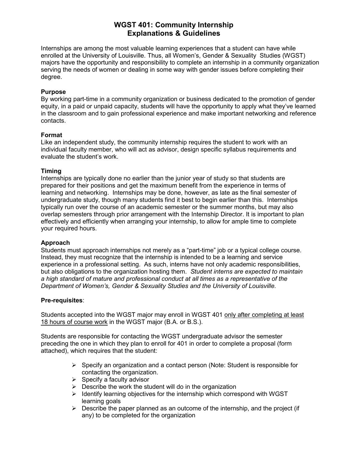# **WGST 401: Community Internship Explanations & Guidelines**

Internships are among the most valuable learning experiences that a student can have while enrolled at the University of Louisville. Thus, all Women's, Gender & Sexuality Studies (WGST) majors have the opportunity and responsibility to complete an internship in a community organization serving the needs of women or dealing in some way with gender issues before completing their degree.

#### **Purpose**

By working part-time in a community organization or business dedicated to the promotion of gender equity, in a paid or unpaid capacity, students will have the opportunity to apply what they've learned in the classroom and to gain professional experience and make important networking and reference contacts.

#### **Format**

Like an independent study, the community internship requires the student to work with an individual faculty member, who will act as advisor, design specific syllabus requirements and evaluate the student's work.

#### **Timing**

Internships are typically done no earlier than the junior year of study so that students are prepared for their positions and get the maximum benefit from the experience in terms of learning and networking. Internships may be done, however, as late as the final semester of undergraduate study, though many students find it best to begin earlier than this. Internships typically run over the course of an academic semester or the summer months, but may also overlap semesters through prior arrangement with the Internship Director. It is important to plan effectively and efficiently when arranging your internship, to allow for ample time to complete your required hours.

### **Approach**

Students must approach internships not merely as a "part-time" job or a typical college course. Instead, they must recognize that the internship is intended to be a learning and service experience in a professional setting. As such, interns have not only academic responsibilities, but also obligations to the organization hosting them. *Student interns are expected to maintain a high standard of mature and professional conduct at all times as a representative of the Department of Women's, Gender & Sexuality Studies and the University of Louisville.*

#### **Pre-requisites**:

Students accepted into the WGST major may enroll in WGST 401 only after completing at least 18 hours of course work in the WGST major (B.A. or B.S.).

Students are responsible for contacting the WGST undergraduate advisor the semester preceding the one in which they plan to enroll for 401 in order to complete a proposal (form attached), which requires that the student:

- $\triangleright$  Specify an organization and a contact person (Note: Student is responsible for contacting the organization.
- $\triangleright$  Specify a faculty advisor
- $\triangleright$  Describe the work the student will do in the organization
- $\triangleright$  Identify learning objectives for the internship which correspond with WGST learning goals
- $\triangleright$  Describe the paper planned as an outcome of the internship, and the project (if any) to be completed for the organization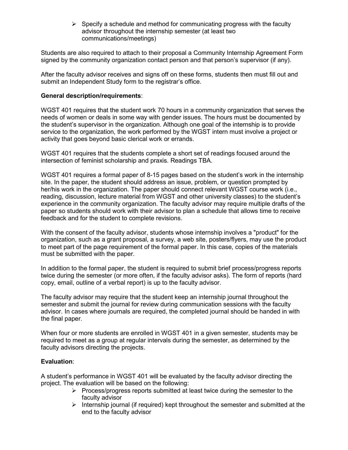$\triangleright$  Specify a schedule and method for communicating progress with the faculty advisor throughout the internship semester (at least two communications/meetings)

Students are also required to attach to their proposal a Community Internship Agreement Form signed by the community organization contact person and that person's supervisor (if any).

After the faculty advisor receives and signs off on these forms, students then must fill out and submit an Independent Study form to the registrar's office.

#### **General description/requirements**:

WGST 401 requires that the student work 70 hours in a community organization that serves the needs of women or deals in some way with gender issues. The hours must be documented by the student's supervisor in the organization. Although one goal of the internship is to provide service to the organization, the work performed by the WGST intern must involve a project or activity that goes beyond basic clerical work or errands.

WGST 401 requires that the students complete a short set of readings focused around the intersection of feminist scholarship and praxis. Readings TBA.

WGST 401 requires a formal paper of 8-15 pages based on the student's work in the internship site. In the paper, the student should address an issue, problem, or question prompted by her/his work in the organization. The paper should connect relevant WGST course work (i.e., reading, discussion, lecture material from WGST and other university classes) to the student's experience in the community organization. The faculty advisor may require multiple drafts of the paper so students should work with their advisor to plan a schedule that allows time to receive feedback and for the student to complete revisions.

With the consent of the faculty advisor, students whose internship involves a "product" for the organization, such as a grant proposal, a survey, a web site, posters/flyers, may use the product to meet part of the page requirement of the formal paper. In this case, copies of the materials must be submitted with the paper.

In addition to the formal paper, the student is required to submit brief process/progress reports twice during the semester (or more often, if the faculty advisor asks). The form of reports (hard copy, email, outline of a verbal report) is up to the faculty advisor.

The faculty advisor may require that the student keep an internship journal throughout the semester and submit the journal for review during communication sessions with the faculty advisor. In cases where journals are required, the completed journal should be handed in with the final paper.

When four or more students are enrolled in WGST 401 in a given semester, students may be required to meet as a group at regular intervals during the semester, as determined by the faculty advisors directing the projects.

#### **Evaluation**:

A student's performance in WGST 401 will be evaluated by the faculty advisor directing the project. The evaluation will be based on the following:

- $\triangleright$  Process/progress reports submitted at least twice during the semester to the faculty advisor
- Internship journal (if required) kept throughout the semester and submitted at the end to the faculty advisor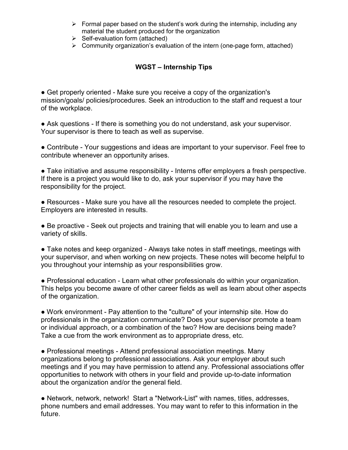- $\triangleright$  Formal paper based on the student's work during the internship, including any material the student produced for the organization
- $\triangleright$  Self-evaluation form (attached)
- $\triangleright$  Community organization's evaluation of the intern (one-page form, attached)

# **WGST – Internship Tips**

● Get properly oriented - Make sure you receive a copy of the organization's mission/goals/ policies/procedures. Seek an introduction to the staff and request a tour of the workplace.

• Ask questions - If there is something you do not understand, ask your supervisor. Your supervisor is there to teach as well as supervise.

• Contribute - Your suggestions and ideas are important to your supervisor. Feel free to contribute whenever an opportunity arises.

● Take initiative and assume responsibility - Interns offer employers a fresh perspective. If there is a project you would like to do, ask your supervisor if you may have the responsibility for the project.

● Resources - Make sure you have all the resources needed to complete the project. Employers are interested in results.

● Be proactive - Seek out projects and training that will enable you to learn and use a variety of skills.

• Take notes and keep organized - Always take notes in staff meetings, meetings with your supervisor, and when working on new projects. These notes will become helpful to you throughout your internship as your responsibilities grow.

● Professional education - Learn what other professionals do within your organization. This helps you become aware of other career fields as well as learn about other aspects of the organization.

● Work environment - Pay attention to the "culture" of your internship site. How do professionals in the organization communicate? Does your supervisor promote a team or individual approach, or a combination of the two? How are decisions being made? Take a cue from the work environment as to appropriate dress, etc.

● Professional meetings - Attend professional association meetings. Many organizations belong to professional associations. Ask your employer about such meetings and if you may have permission to attend any. Professional associations offer opportunities to network with others in your field and provide up-to-date information about the organization and/or the general field.

● Network, network, network! Start a "Network-List" with names, titles, addresses, phone numbers and email addresses. You may want to refer to this information in the future.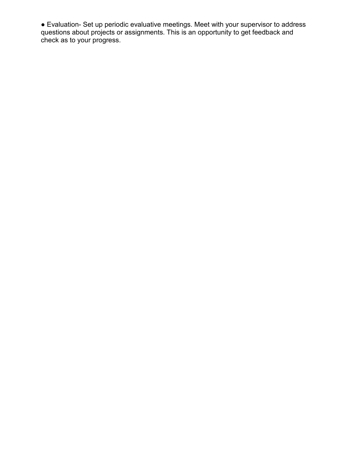● Evaluation- Set up periodic evaluative meetings. Meet with your supervisor to address questions about projects or assignments. This is an opportunity to get feedback and check as to your progress.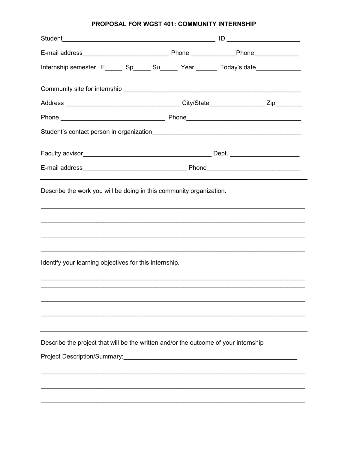### PROPOSAL FOR WGST 401: COMMUNITY INTERNSHIP

| Internship semester F______ Sp_____ Su______ Year _______ Today's date___________   |  |  |  |
|-------------------------------------------------------------------------------------|--|--|--|
|                                                                                     |  |  |  |
|                                                                                     |  |  |  |
|                                                                                     |  |  |  |
|                                                                                     |  |  |  |
|                                                                                     |  |  |  |
|                                                                                     |  |  |  |
| Describe the work you will be doing in this community organization.                 |  |  |  |
|                                                                                     |  |  |  |
|                                                                                     |  |  |  |
|                                                                                     |  |  |  |
| Identify your learning objectives for this internship.                              |  |  |  |
|                                                                                     |  |  |  |
|                                                                                     |  |  |  |
|                                                                                     |  |  |  |
| Describe the project that will be the written and/or the outcome of your internship |  |  |  |
|                                                                                     |  |  |  |
|                                                                                     |  |  |  |
|                                                                                     |  |  |  |
|                                                                                     |  |  |  |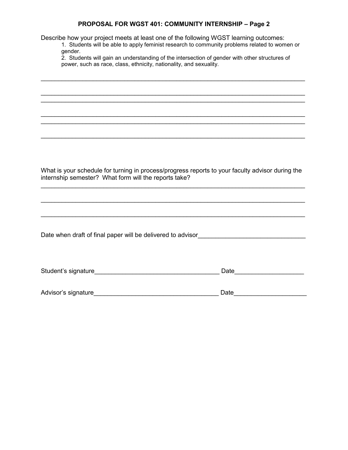#### **PROPOSAL FOR WGST 401: COMMUNITY INTERNSHIP – Page 2**

Describe how your project meets at least one of the following WGST learning outcomes:

1. Students will be able to apply feminist research to community problems related to women or gender.

2. Students will gain an understanding of the intersection of gender with other structures of power, such as race, class, ethnicity, nationality, and sexuality.

 $\mathcal{L}_\text{max}$  , and the contribution of the contribution of the contribution of the contribution of the contribution of the contribution of the contribution of the contribution of the contribution of the contribution of t

\_\_\_\_\_\_\_\_\_\_\_\_\_\_\_\_\_\_\_\_\_\_\_\_\_\_\_\_\_\_\_\_\_\_\_\_\_\_\_\_\_\_\_\_\_\_\_\_\_\_\_\_\_\_\_\_\_\_\_\_\_\_\_\_\_\_\_\_\_\_\_\_\_\_\_\_  $\mathcal{L}_\text{max}$  , and the contribution of the contribution of the contribution of the contribution of the contribution of the contribution of the contribution of the contribution of the contribution of the contribution of t

\_\_\_\_\_\_\_\_\_\_\_\_\_\_\_\_\_\_\_\_\_\_\_\_\_\_\_\_\_\_\_\_\_\_\_\_\_\_\_\_\_\_\_\_\_\_\_\_\_\_\_\_\_\_\_\_\_\_\_\_\_\_\_\_\_\_\_\_\_\_\_\_\_\_\_\_  $\mathcal{L}_\text{max}$  , and the contribution of the contribution of the contribution of the contribution of the contribution of the contribution of the contribution of the contribution of the contribution of the contribution of t

\_\_\_\_\_\_\_\_\_\_\_\_\_\_\_\_\_\_\_\_\_\_\_\_\_\_\_\_\_\_\_\_\_\_\_\_\_\_\_\_\_\_\_\_\_\_\_\_\_\_\_\_\_\_\_\_\_\_\_\_\_\_\_\_\_\_\_\_\_\_\_\_\_\_\_\_

What is your schedule for turning in process/progress reports to your faculty advisor during the internship semester? What form will the reports take?

\_\_\_\_\_\_\_\_\_\_\_\_\_\_\_\_\_\_\_\_\_\_\_\_\_\_\_\_\_\_\_\_\_\_\_\_\_\_\_\_\_\_\_\_\_\_\_\_\_\_\_\_\_\_\_\_\_\_\_\_\_\_\_\_\_\_\_\_\_\_\_\_\_\_\_\_

 $\mathcal{L}_\text{max}$  , and the contribution of the contribution of the contribution of the contribution of the contribution of the contribution of the contribution of the contribution of the contribution of the contribution of t

\_\_\_\_\_\_\_\_\_\_\_\_\_\_\_\_\_\_\_\_\_\_\_\_\_\_\_\_\_\_\_\_\_\_\_\_\_\_\_\_\_\_\_\_\_\_\_\_\_\_\_\_\_\_\_\_\_\_\_\_\_\_\_\_\_\_\_\_\_\_\_\_\_\_\_\_

Date when draft of final paper will be delivered to advisor

| Student's signature | Date |
|---------------------|------|
|                     |      |
|                     |      |
| Advisor's signature | Date |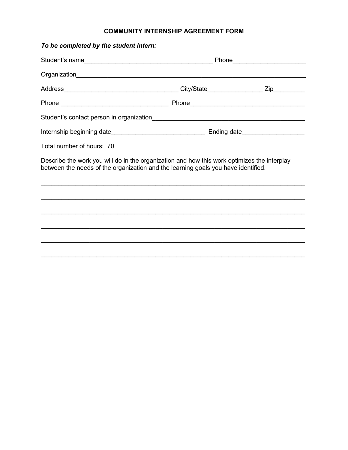## **COMMUNITY INTERNSHIP AGREEMENT FORM**

| Student's name                                                                                                                                                                   | Phone_______________________ |  |  |  |
|----------------------------------------------------------------------------------------------------------------------------------------------------------------------------------|------------------------------|--|--|--|
|                                                                                                                                                                                  |                              |  |  |  |
|                                                                                                                                                                                  |                              |  |  |  |
|                                                                                                                                                                                  |                              |  |  |  |
|                                                                                                                                                                                  |                              |  |  |  |
|                                                                                                                                                                                  |                              |  |  |  |
| Total number of hours: 70                                                                                                                                                        |                              |  |  |  |
| Describe the work you will do in the organization and how this work optimizes the interplay<br>between the needs of the organization and the learning goals you have identified. |                              |  |  |  |
|                                                                                                                                                                                  |                              |  |  |  |
|                                                                                                                                                                                  |                              |  |  |  |
|                                                                                                                                                                                  |                              |  |  |  |
|                                                                                                                                                                                  |                              |  |  |  |
|                                                                                                                                                                                  |                              |  |  |  |

# *To be completed by the student intern:*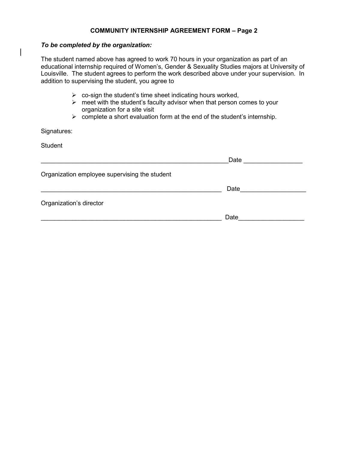#### **COMMUNITY INTERNSHIP AGREEMENT FORM – Page 2**

#### *To be completed by the organization:*

The student named above has agreed to work 70 hours in your organization as part of an educational internship required of Women's, Gender & Sexuality Studies majors at University of Louisville. The student agrees to perform the work described above under your supervision. In addition to supervising the student, you agree to

- $\triangleright$  co-sign the student's time sheet indicating hours worked,
- $\triangleright$  meet with the student's faculty advisor when that person comes to your organization for a site visit
- $\triangleright$  complete a short evaluation form at the end of the student's internship.

Signatures:

**Student** 

|                                               | Date |  |
|-----------------------------------------------|------|--|
| Organization employee supervising the student |      |  |
|                                               | Date |  |
| Organization's director                       |      |  |
|                                               | Date |  |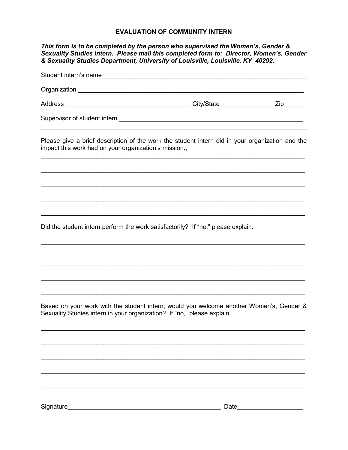## **EVALUATION OF COMMUNITY INTERN**

|                                                                         | This form is to be completed by the person who supervised the Women's, Gender &<br>Sexuality Studies intern. Please mail this completed form to: Director, Women's, Gender<br>& Sexuality Studies Department, University of Louisville, Louisville, KY 40292. |  |
|-------------------------------------------------------------------------|---------------------------------------------------------------------------------------------------------------------------------------------------------------------------------------------------------------------------------------------------------------|--|
|                                                                         |                                                                                                                                                                                                                                                               |  |
|                                                                         |                                                                                                                                                                                                                                                               |  |
|                                                                         |                                                                                                                                                                                                                                                               |  |
|                                                                         |                                                                                                                                                                                                                                                               |  |
| impact this work had on your organization's mission.,                   | Please give a brief description of the work the student intern did in your organization and the                                                                                                                                                               |  |
|                                                                         |                                                                                                                                                                                                                                                               |  |
|                                                                         |                                                                                                                                                                                                                                                               |  |
|                                                                         | Did the student intern perform the work satisfactorily? If "no," please explain.                                                                                                                                                                              |  |
|                                                                         |                                                                                                                                                                                                                                                               |  |
|                                                                         |                                                                                                                                                                                                                                                               |  |
| Sexuality Studies intern in your organization? If "no," please explain. | Based on your work with the student intern, would you welcome another Women's, Gender &                                                                                                                                                                       |  |
|                                                                         |                                                                                                                                                                                                                                                               |  |
|                                                                         |                                                                                                                                                                                                                                                               |  |
|                                                                         |                                                                                                                                                                                                                                                               |  |
| Signature                                                               | Date                                                                                                                                                                                                                                                          |  |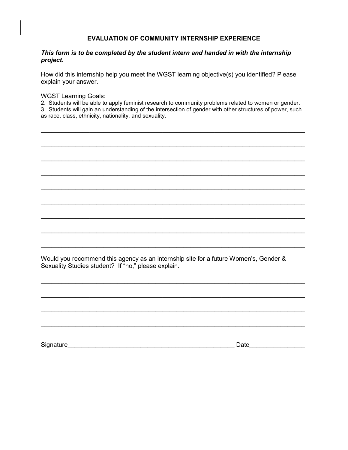#### **EVALUATION OF COMMUNITY INTERNSHIP EXPERIENCE**

#### *This form is to be completed by the student intern and handed in with the internship project.*

How did this internship help you meet the WGST learning objective(s) you identified? Please explain your answer.

WGST Learning Goals:

2. Students will be able to apply feminist research to community problems related to women or gender.

3. Students will gain an understanding of the intersection of gender with other structures of power, such as race, class, ethnicity, nationality, and sexuality.

 $\mathcal{L}_\text{max}$  , and the contribution of the contribution of the contribution of the contribution of the contribution of the contribution of the contribution of the contribution of the contribution of the contribution of t

 $\mathcal{L}_\text{max}$  , and the set of the set of the set of the set of the set of the set of the set of the set of the set of the set of the set of the set of the set of the set of the set of the set of the set of the set of the

 $\mathcal{L}_\text{max}$  , and the contribution of the contribution of the contribution of the contribution of the contribution of the contribution of the contribution of the contribution of the contribution of the contribution of t

\_\_\_\_\_\_\_\_\_\_\_\_\_\_\_\_\_\_\_\_\_\_\_\_\_\_\_\_\_\_\_\_\_\_\_\_\_\_\_\_\_\_\_\_\_\_\_\_\_\_\_\_\_\_\_\_\_\_\_\_\_\_\_\_\_\_\_\_\_\_\_\_\_\_\_\_

 $\mathcal{L}_\text{max}$  , and the contribution of the contribution of the contribution of the contribution of the contribution of the contribution of the contribution of the contribution of the contribution of the contribution of t

\_\_\_\_\_\_\_\_\_\_\_\_\_\_\_\_\_\_\_\_\_\_\_\_\_\_\_\_\_\_\_\_\_\_\_\_\_\_\_\_\_\_\_\_\_\_\_\_\_\_\_\_\_\_\_\_\_\_\_\_\_\_\_\_\_\_\_\_\_\_\_\_\_\_\_\_

 $\mathcal{L}_\text{max}$  , and the contribution of the contribution of the contribution of the contribution of the contribution of the contribution of the contribution of the contribution of the contribution of the contribution of t

 $\mathcal{L}_\text{max}$  , and the contribution of the contribution of the contribution of the contribution of the contribution of the contribution of the contribution of the contribution of the contribution of the contribution of t

\_\_\_\_\_\_\_\_\_\_\_\_\_\_\_\_\_\_\_\_\_\_\_\_\_\_\_\_\_\_\_\_\_\_\_\_\_\_\_\_\_\_\_\_\_\_\_\_\_\_\_\_\_\_\_\_\_\_\_\_\_\_\_\_\_\_\_\_\_\_\_\_\_\_\_\_

 $\mathcal{L}_\text{max}$  , and the set of the set of the set of the set of the set of the set of the set of the set of the set of the set of the set of the set of the set of the set of the set of the set of the set of the set of the

 $\_$  , and the contribution of the contribution of  $\mathcal{L}_1$  , and the contribution of  $\mathcal{L}_2$ 

 $\mathcal{L}_\text{max}$  , and the set of the set of the set of the set of the set of the set of the set of the set of the set of the set of the set of the set of the set of the set of the set of the set of the set of the set of the

 $\_$  , and the contribution of the contribution of  $\mathcal{L}_1$  , and the contribution of  $\mathcal{L}_2$ 

Would you recommend this agency as an internship site for a future Women's, Gender & Sexuality Studies student? If "no," please explain.

Signature\_\_\_\_\_\_\_\_\_\_\_\_\_\_\_\_\_\_\_\_\_\_\_\_\_\_\_\_\_\_\_\_\_\_\_\_\_\_\_\_\_\_\_\_\_\_\_\_ Date\_\_\_\_\_\_\_\_\_\_\_\_\_\_\_\_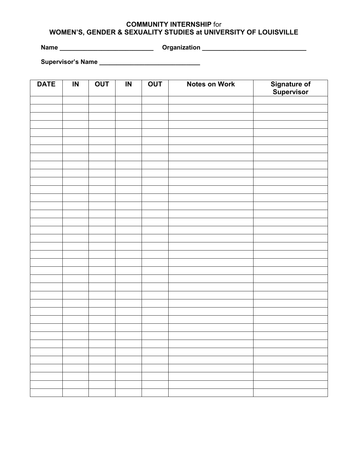## **COMMUNITY INTERNSHIP** for **WOMEN'S, GENDER & SEXUALITY STUDIES at UNIVERSITY OF LOUISVILLE**

**Name \_\_\_\_\_\_\_\_\_\_\_\_\_\_\_\_\_\_\_\_\_\_\_\_\_\_\_ Organization \_\_\_\_\_\_\_\_\_\_\_\_\_\_\_\_\_\_\_\_\_\_\_\_\_\_\_\_\_\_**

**Supervisor's Name \_\_\_\_\_\_\_\_\_\_\_\_\_\_\_\_\_\_\_\_\_\_\_\_\_\_\_\_\_**

| <b>DATE</b> | $\overline{N}$ | <b>OUT</b> | $\overline{N}$ | <b>OUT</b> | <b>Notes on Work</b> | Signature of<br>Supervisor |
|-------------|----------------|------------|----------------|------------|----------------------|----------------------------|
|             |                |            |                |            |                      |                            |
|             |                |            |                |            |                      |                            |
|             |                |            |                |            |                      |                            |
|             |                |            |                |            |                      |                            |
|             |                |            |                |            |                      |                            |
|             |                |            |                |            |                      |                            |
|             |                |            |                |            |                      |                            |
|             |                |            |                |            |                      |                            |
|             |                |            |                |            |                      |                            |
|             |                |            |                |            |                      |                            |
|             |                |            |                |            |                      |                            |
|             |                |            |                |            |                      |                            |
|             |                |            |                |            |                      |                            |
|             |                |            |                |            |                      |                            |
|             |                |            |                |            |                      |                            |
|             |                |            |                |            |                      |                            |
|             |                |            |                |            |                      |                            |
|             |                |            |                |            |                      |                            |
|             |                |            |                |            |                      |                            |
|             |                |            |                |            |                      |                            |
|             |                |            |                |            |                      |                            |
|             |                |            |                |            |                      |                            |
|             |                |            |                |            |                      |                            |
|             |                |            |                |            |                      |                            |
|             |                |            |                |            |                      |                            |
|             |                |            |                |            |                      |                            |
|             |                |            |                |            |                      |                            |
|             |                |            |                |            |                      |                            |
|             |                |            |                |            |                      |                            |
|             |                |            |                |            |                      |                            |
|             |                |            |                |            |                      |                            |
|             |                |            |                |            |                      |                            |
|             |                |            |                |            |                      |                            |
|             |                |            |                |            |                      |                            |
|             |                |            |                |            |                      |                            |
|             |                |            |                |            |                      |                            |
|             |                |            |                |            |                      |                            |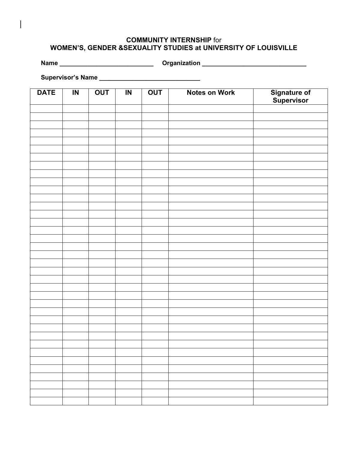## **COMMUNITY INTERNSHIP** for **WOMEN'S, GENDER &SEXUALITY STUDIES at UNIVERSITY OF LOUISVILLE**

**Name \_\_\_\_\_\_\_\_\_\_\_\_\_\_\_\_\_\_\_\_\_\_\_\_\_\_\_ Organization \_\_\_\_\_\_\_\_\_\_\_\_\_\_\_\_\_\_\_\_\_\_\_\_\_\_\_\_\_\_**

**Supervisor's Name \_\_\_\_\_\_\_\_\_\_\_\_\_\_\_\_\_\_\_\_\_\_\_\_\_\_\_\_\_**

| <b>DATE</b> | $\overline{N}$ | <b>OUT</b> | $\overline{\mathsf{I}}$ | <b>OUT</b> | <b>Notes on Work</b> | Signature of<br>Supervisor |
|-------------|----------------|------------|-------------------------|------------|----------------------|----------------------------|
|             |                |            |                         |            |                      |                            |
|             |                |            |                         |            |                      |                            |
|             |                |            |                         |            |                      |                            |
|             |                |            |                         |            |                      |                            |
|             |                |            |                         |            |                      |                            |
|             |                |            |                         |            |                      |                            |
|             |                |            |                         |            |                      |                            |
|             |                |            |                         |            |                      |                            |
|             |                |            |                         |            |                      |                            |
|             |                |            |                         |            |                      |                            |
|             |                |            |                         |            |                      |                            |
|             |                |            |                         |            |                      |                            |
|             |                |            |                         |            |                      |                            |
|             |                |            |                         |            |                      |                            |
|             |                |            |                         |            |                      |                            |
|             |                |            |                         |            |                      |                            |
|             |                |            |                         |            |                      |                            |
|             |                |            |                         |            |                      |                            |
|             |                |            |                         |            |                      |                            |
|             |                |            |                         |            |                      |                            |
|             |                |            |                         |            |                      |                            |
|             |                |            |                         |            |                      |                            |
|             |                |            |                         |            |                      |                            |
|             |                |            |                         |            |                      |                            |
|             |                |            |                         |            |                      |                            |
|             |                |            |                         |            |                      |                            |
|             |                |            |                         |            |                      |                            |
|             |                |            |                         |            |                      |                            |
|             |                |            |                         |            |                      |                            |
|             |                |            |                         |            |                      |                            |
|             |                |            |                         |            |                      |                            |
|             |                |            |                         |            |                      |                            |
|             |                |            |                         |            |                      |                            |
|             |                |            |                         |            |                      |                            |
|             |                |            |                         |            |                      |                            |
|             |                |            |                         |            |                      |                            |
|             |                |            |                         |            |                      |                            |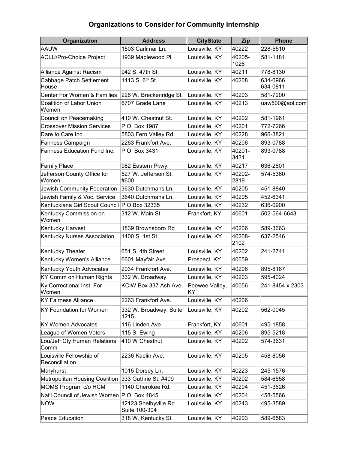# **Organizations to Consider for Community Internship**

| Organization                                 | <b>Address</b>                         | <b>CityState</b>      | Zip            | <b>Phone</b>         |
|----------------------------------------------|----------------------------------------|-----------------------|----------------|----------------------|
| AAUW                                         | 1503 Carlimar Ln.                      | Louisville, KY        | 40222          | 228-5510             |
| <b>ACLU/Pro-Choice Project</b>               | 1939 Maplewood Pl.                     | Louisville, KY        | 40205-<br>1026 | 581-1181             |
| Alliance Against Racism                      | 942 S. 47th St.                        | Louisville, KY        | 40211          | 778-8130             |
| Cabbage Patch Settlement<br>House            | 1413 S. 6 <sup>th</sup> St.            | Louisville, KY        | 40208          | 634-0966<br>634-0811 |
| Center For Women & Families                  | 226 W. Breckenridge St.                | Louisville, KY        | 40203          | 581-7200             |
| Coalition of Labor Union<br>Women            | 6707 Grade Lane                        | Louisville, KY        | 40213          | uaw500@aol.com       |
| Council on Peacemaking                       | 410 W. Chestnut St.                    | Louisville, KY        | 40202          | 581-1961             |
| <b>Crossover Mission Services</b>            | P.O. Box 1987                          | Louisville, KY        | 40201          | 772-7266             |
| Dare to Care Inc.                            | 5803 Fern Valley Rd.                   | Louisville, KY        | 40228          | 966-3821             |
| Fairness Campaign                            | 2263 Frankfort Ave.                    | Louisville, KY        | 40206          | 893-0788             |
| Fairness Education Fund Inc.                 | P.O. Box 3431                          | Louisville, KY        | 40201-<br>3431 | 893-0788             |
| <b>Family Place</b>                          | 982 Eastern Pkwy.                      | Louisville, KY        | 40217          | 636-2801             |
| Jefferson County Office for<br>Women         | 527 W. Jefferson St.<br>#600           | Louisville, KY        | 40202-<br>2819 | 574-5360             |
| Jewish Community Federation                  | 3630 Dutchmans Ln.                     | Louisville, KY        | 40205          | 451-8840             |
| Jewish Family & Voc. Service                 | 3640 Dutchmans Ln.                     | Louisville, KY        | 40205          | 452-6341             |
| Kentuckiana Girl Scout Council P.O Box 32335 |                                        | Louisville, KY        | 40232          | 636-0900             |
| Kentucky Commission on<br>Women              | 312 W. Main St.                        | Frankfort, KY         | 40601          | 502-564-6643         |
| Kentucky Harvest                             | 1839 Brownsboro Rd                     | Louisville, KY        | 40206          | 589-3663             |
| Kentucky Nurses Association                  | 1400 S. 1st St.                        | Louisville, KY        | 40208-<br>2102 | 637-2546             |
| Kentucky Theater                             | 651 S. 4th Street                      | Louisville, KY        | 40202          | 241-2741             |
| Kentucky Women's Alliance                    | 6601 Mayfair Ave.                      | Prospect, KY          | 40059          |                      |
| Kentucky Youth Advocates                     | 2034 Frankfort Ave.                    | Louisville, KY        | 40206          | 895-8167             |
| <b>KY Comm on Human Rights</b>               | 332 W. Broadway                        | Louisville, KY        | 40203          | 595-4024             |
| Ky Correctional Inst. For<br>vvomen          | KCIW Box 337 Ash Ave.                  | Peewee Valley,<br>KY. | 40056          | 241-8454 x 2303      |
| <b>KY Fairness Alliance</b>                  | 2263 Frankfort Ave.                    | Louisville, KY        | 40206          |                      |
| <b>KY Foundation for Women</b>               | 332 W. Broadway, Suite<br>1215         | Louisville, KY        | 40202          | 562-0045             |
| <b>KY Women Advocates</b>                    | 116 Linden Ave                         | Frankfort, KY         | 40601          | 495-1858             |
| League of Women Voters                       | 115 S. Ewing                           | Louisville, KY        | 40206          | 895-5218             |
| Lou/Jeff Cty Human Relations<br>Comm         | 410 W Chestnut                         | Louisville, KY        | 40202          | 574-3631             |
| Louisville Fellowship of<br>Reconciliation   | 2236 Kaelin Ave.                       | Louisville, KY        | 40205          | 458-8056             |
| Maryhurst                                    | 1015 Dorsey Ln.                        | Louisville, KY        | 40223          | 245-1576             |
| <b>Metropolitan Housing Coalition</b>        | 333 Guthrie St. #409                   | Louisville, KY        | 40202          | 584-6858             |
| MOMS Program c/o HCM                         | 1140 Cherokee Rd.                      | Louisville, KY        | 40204          | 451-3626             |
| Nat'l Council of Jewish Women                | P.O. Box 4845                          | Louisville, KY        | 40204          | 458-5566             |
| <b>NOW</b>                                   | 12123 Shelbyville Rd.<br>Suite 100-304 | Louisville, KY        | 40243          | 495-3589             |
| Peace Education                              | 318 W. Kentucky St.                    | Louisville, KY        | 40203          | 589-6583             |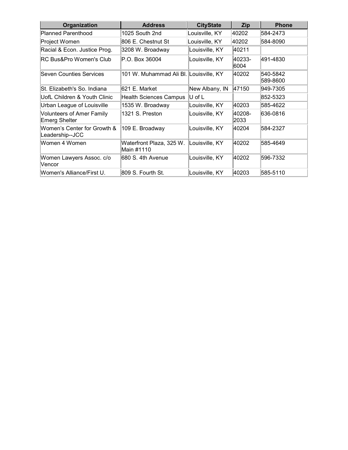| Organization                                      | <b>Address</b>                         | <b>CityState</b>                                           | <b>Zip</b>     | <b>Phone</b>         |
|---------------------------------------------------|----------------------------------------|------------------------------------------------------------|----------------|----------------------|
| Planned Parenthood                                | 1025 South 2nd                         | Louisville, KY                                             | 40202          | 584-2473             |
| Project Women                                     | 806 E. Chestnut St                     | Louisville, KY                                             | 40202          | 584-8090             |
| Racial & Econ. Justice Prog.                      | 3208 W. Broadway                       | Louisville, KY                                             | 40211          |                      |
| <b>RC Bus&amp;Pro Women's Club</b>                | P.O. Box 36004                         | Louisville, KY                                             | 40233-<br>6004 | 491-4830             |
| Seven Counties Services                           | 101 W. Muhammad Ali Bl. Louisville, KY |                                                            | 40202          | 540-5842<br>589-8600 |
| lSt. Elizabeth's So. Indiana                      | 621 E. Market                          | New Albany, IN                                             | 47150          | 949-7305             |
| UofL Children & Youth Clinic                      | Health Sciences Campus                 | $\operatorname{\mathsf{U}}$ of $\operatorname{\mathsf{L}}$ |                | 852-5323             |
| Urban League of Louisville                        | 1535 W. Broadway                       | Louisville, KY                                             | 40203          | 585-4622             |
| <b>Volunteers of Amer Family</b><br>Emerg Shelter | 1321 S. Preston                        | Louisville, KY                                             | 40208-<br>2033 | 636-0816             |
| Women's Center for Growth &<br>Leadership--JCC    | 109 E. Broadway                        | Louisville, KY                                             | 40204          | 584-2327             |
| Women 4 Women                                     | Waterfront Plaza, 325 W.<br>Main #1110 | ∣Louisville, KY                                            | 40202          | 585-4649             |
| Women Lawyers Assoc. c/o<br>Vencor                | 680 S. 4th Avenue                      | Louisville, KY                                             | 40202          | 596-7332             |
| Women's Alliance/First U.                         | 809 S. Fourth St.                      | Louisville, KY                                             | 40203          | 585-5110             |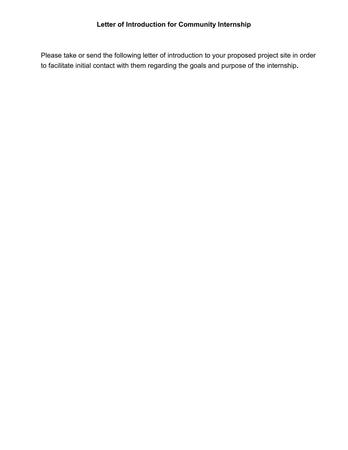Please take or send the following letter of introduction to your proposed project site in order to facilitate initial contact with them regarding the goals and purpose of the internship.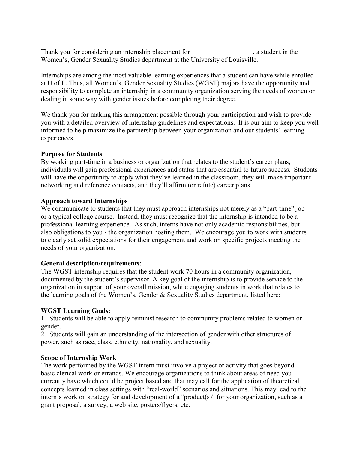Thank you for considering an internship placement for  $\qquad \qquad$ , a student in the Women's, Gender Sexuality Studies department at the University of Louisville.

Internships are among the most valuable learning experiences that a student can have while enrolled at U of L. Thus, all Women's, Gender Sexuality Studies (WGST) majors have the opportunity and responsibility to complete an internship in a community organization serving the needs of women or dealing in some way with gender issues before completing their degree.

We thank you for making this arrangement possible through your participation and wish to provide you with a detailed overview of internship guidelines and expectations. It is our aim to keep you well informed to help maximize the partnership between your organization and our students' learning experiences.

#### **Purpose for Students**

By working part-time in a business or organization that relates to the student's career plans, individuals will gain professional experiences and status that are essential to future success. Students will have the opportunity to apply what they've learned in the classroom, they will make important networking and reference contacts, and they'll affirm (or refute) career plans.

#### **Approach toward Internships**

We communicate to students that they must approach internships not merely as a "part-time" job or a typical college course. Instead, they must recognize that the internship is intended to be a professional learning experience. As such, interns have not only academic responsibilities, but also obligations to you - the organization hosting them. We encourage you to work with students to clearly set solid expectations for their engagement and work on specific projects meeting the needs of your organization.

### **General description/requirements**:

The WGST internship requires that the student work 70 hours in a community organization, documented by the student's supervisor. A key goal of the internship is to provide service to the organization in support of your overall mission, while engaging students in work that relates to the learning goals of the Women's, Gender & Sexuality Studies department, listed here:

### **WGST Learning Goals:**

1. Students will be able to apply feminist research to community problems related to women or gender.

2. Students will gain an understanding of the intersection of gender with other structures of power, such as race, class, ethnicity, nationality, and sexuality.

### **Scope of Internship Work**

The work performed by the WGST intern must involve a project or activity that goes beyond basic clerical work or errands. We encourage organizations to think about areas of need you currently have which could be project based and that may call for the application of theoretical concepts learned in class settings with "real-world" scenarios and situations. This may lead to the intern's work on strategy for and development of a "product(s)" for your organization, such as a grant proposal, a survey, a web site, posters/flyers, etc.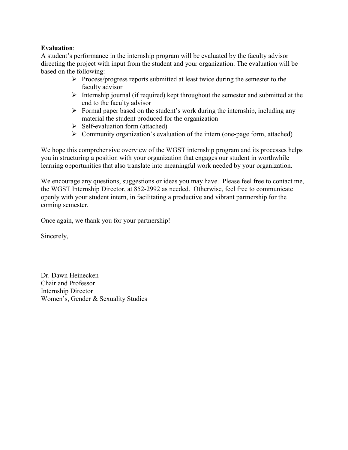### **Evaluation**:

A student's performance in the internship program will be evaluated by the faculty advisor directing the project with input from the student and your organization. The evaluation will be based on the following:

- $\triangleright$  Process/progress reports submitted at least twice during the semester to the faculty advisor
- $\triangleright$  Internship journal (if required) kept throughout the semester and submitted at the end to the faculty advisor
- $\triangleright$  Formal paper based on the student's work during the internship, including any material the student produced for the organization
- $\triangleright$  Self-evaluation form (attached)
- $\triangleright$  Community organization's evaluation of the intern (one-page form, attached)

We hope this comprehensive overview of the WGST internship program and its processes helps you in structuring a position with your organization that engages our student in worthwhile learning opportunities that also translate into meaningful work needed by your organization.

We encourage any questions, suggestions or ideas you may have. Please feel free to contact me, the WGST Internship Director, at 852-2992 as needed. Otherwise, feel free to communicate openly with your student intern, in facilitating a productive and vibrant partnership for the coming semester.

Once again, we thank you for your partnership!

Sincerely,

 $\overline{a}$ 

Dr. Dawn Heinecken Chair and Professor Internship Director Women's, Gender & Sexuality Studies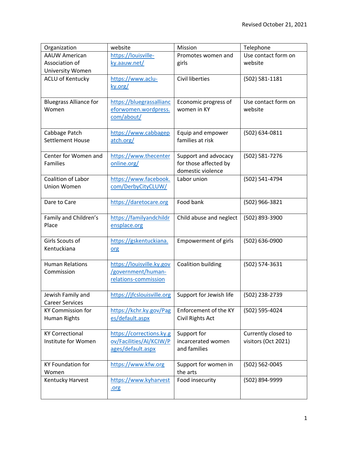| Organization                   | website                                 | Mission                     | Telephone           |
|--------------------------------|-----------------------------------------|-----------------------------|---------------------|
| <b>AAUW American</b>           | https://louisville-                     | Promotes women and          | Use contact form on |
| Association of                 | ky.aauw.net/                            | girls                       | website             |
| University Women               |                                         |                             |                     |
| <b>ACLU of Kentucky</b>        | https://www.aclu-                       | <b>Civil liberties</b>      | (502) 581-1181      |
|                                | ky.org/                                 |                             |                     |
|                                |                                         |                             |                     |
| <b>Bluegrass Alliance for</b>  | https://bluegrassallianc                | Economic progress of        | Use contact form on |
| Women                          | eforwomen.wordpress.<br>com/about/      | women in KY                 | website             |
|                                |                                         |                             |                     |
| Cabbage Patch                  | https://www.cabbagep                    | Equip and empower           | (502) 634-0811      |
| Settlement House               | atch.org/                               | families at risk            |                     |
|                                |                                         |                             |                     |
| Center for Women and           | https://www.thecenter                   | Support and advocacy        | (502) 581-7276      |
| <b>Families</b>                | online.org/                             | for those affected by       |                     |
|                                |                                         | domestic violence           |                     |
| Coalition of Labor             | https://www.facebook.                   | Labor union                 | (502) 541-4794      |
| <b>Union Women</b>             | com/DerbyCityCLUW/                      |                             |                     |
|                                |                                         |                             |                     |
| Dare to Care                   | https://daretocare.org                  | Food bank                   | (502) 966-3821      |
|                                |                                         |                             |                     |
| Family and Children's<br>Place | https://familyandchildr<br>ensplace.org | Child abuse and neglect     | (502) 893-3900      |
|                                |                                         |                             |                     |
| Girls Scouts of                | https://gskentuckiana.                  | <b>Empowerment of girls</b> | (502) 636-0900      |
| Kentuckiana                    | org                                     |                             |                     |
|                                |                                         |                             |                     |
| <b>Human Relations</b>         | https://louisville.ky.gov               | Coalition building          | (502) 574-3631      |
| Commission                     | /government/human-                      |                             |                     |
|                                | relations-commission                    |                             |                     |
|                                |                                         |                             |                     |
| Jewish Family and              | https://jfcslouisville.org              | Support for Jewish life     | (502) 238-2739      |
| <b>Career Services</b>         |                                         |                             |                     |
| <b>KY Commission for</b>       | https://kchr.ky.gov/Pag                 | Enforcement of the KY       | (502) 595-4024      |
| Human Rights                   | es/default.aspx                         | Civil Rights Act            |                     |
| <b>KY Correctional</b>         | https://corrections.ky.g                | Support for                 | Currently closed to |
| Institute for Women            | ov/Facilities/Al/KCIW/P                 | incarcerated women          | visitors (Oct 2021) |
|                                | ages/default.aspx                       | and families                |                     |
|                                |                                         |                             |                     |
| <b>KY Foundation for</b>       | https://www.kfw.org                     | Support for women in        | (502) 562-0045      |
| Women                          |                                         | the arts                    |                     |
| Kentucky Harvest               | https://www.kyharvest                   | Food insecurity             | (502) 894-9999      |
|                                | .org                                    |                             |                     |
|                                |                                         |                             |                     |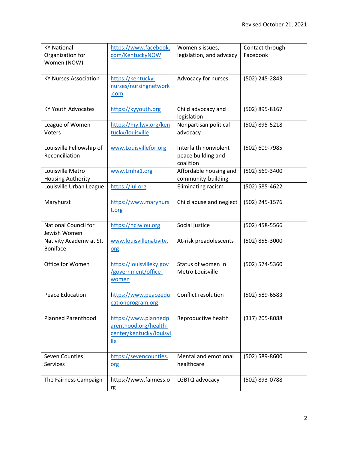| <b>KY National</b>           | https://www.facebook.                      | Women's issues,          | Contact through |
|------------------------------|--------------------------------------------|--------------------------|-----------------|
| Organization for             | com/KentuckyNOW                            | legislation, and advcacy | Facebook        |
| Women (NOW)                  |                                            |                          |                 |
| <b>KY Nurses Association</b> | https://kentucky-                          | Advocacy for nurses      | (502) 245-2843  |
|                              | nurses/nursingnetwork                      |                          |                 |
|                              | .com                                       |                          |                 |
| <b>KY Youth Advocates</b>    | https://kyyouth.org                        | Child advocacy and       | (502) 895-8167  |
|                              |                                            | legislation              |                 |
| League of Women              | https://my.lwv.org/ken                     | Nonpartisan political    | (502) 895-5218  |
| Voters                       | tucky/louisville                           | advocacy                 |                 |
| Louisville Fellowship of     | www.Louisvillefor.org                      | Interfaith nonviolent    | (502) 609-7985  |
| Reconciliation               |                                            | peace building and       |                 |
|                              |                                            | coalition                |                 |
| Louisville Metro             | www.Lmha1.org                              | Affordable housing and   | (502) 569-3400  |
| Housing Authority            |                                            | community-building       |                 |
| Louisville Urban League      | https://lul.org                            | Eliminating racism       | (502) 585-4622  |
| Maryhurst                    | https://www.maryhurs                       | Child abuse and neglect  | (502) 245-1576  |
|                              | t.org                                      |                          |                 |
| <b>National Council for</b>  | https://ncjwlou.org                        | Social justice           | (502) 458-5566  |
| Jewish Women                 |                                            |                          |                 |
| Nativity Academy at St.      | www.louisvillenativity.                    | At-risk preadolescents   | (502) 855-3000  |
| <b>Boniface</b>              | org                                        |                          |                 |
| Office for Women             | https://louisvilleky.gov                   | Status of women in       | (502) 574-5360  |
|                              | /government/office-                        | Metro Louisville         |                 |
|                              | women                                      |                          |                 |
|                              |                                            |                          |                 |
| <b>Peace Education</b>       | https://www.peaceedu<br>cationprogram.org  | Conflict resolution      | (502) 589-6583  |
|                              |                                            |                          |                 |
| <b>Planned Parenthood</b>    | https://www.plannedp                       | Reproductive health      | (317) 205-8088  |
|                              | arenthood.org/health-                      |                          |                 |
|                              | center/kentucky/louisvi<br>$\mathbf{I}$ le |                          |                 |
|                              |                                            |                          |                 |
| <b>Seven Counties</b>        | https://sevencounties.                     | Mental and emotional     | (502) 589-8600  |
| <b>Services</b>              | org                                        | healthcare               |                 |
| The Fairness Campaign        | https://www.fairness.o                     | LGBTQ advocacy           | (502) 893-0788  |
|                              | rg                                         |                          |                 |